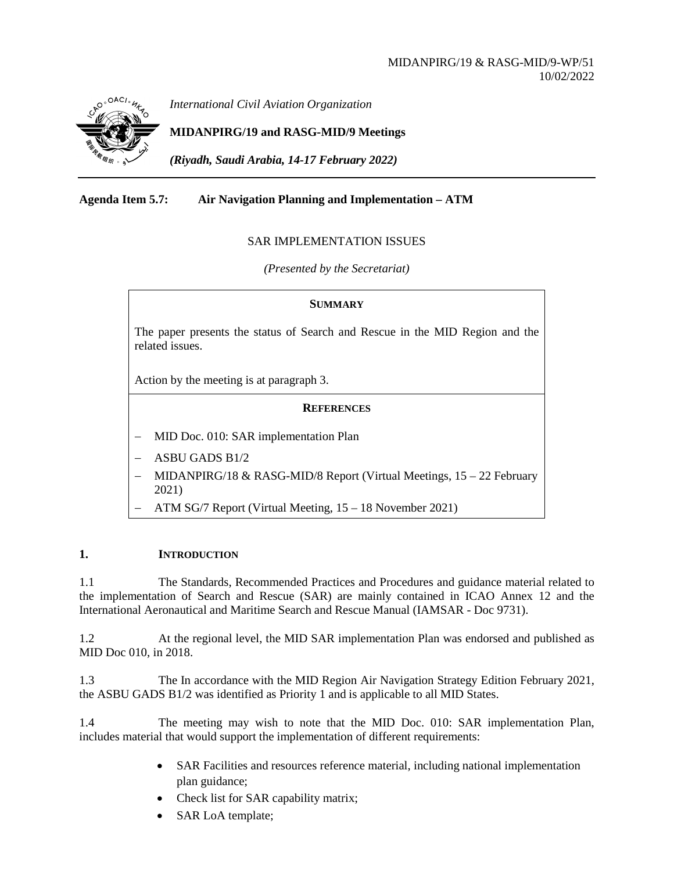

*International Civil Aviation Organization*

# **MIDANPIRG/19 and RASG-MID/9 Meetings**

*(Riyadh, Saudi Arabia, 14-17 February 2022)*

## **Agenda Item 5.7: Air Navigation Planning and Implementation – ATM**

## SAR IMPLEMENTATION ISSUES

*(Presented by the Secretariat)*

#### **SUMMARY**

The paper presents the status of Search and Rescue in the MID Region and the related issues.

Action by the meeting is at paragraph 3.

#### **REFERENCES**

- − MID Doc. 010: SAR implementation Plan
- − ASBU GADS B1/2
- $MIDANPIRG/18 \& RASG-MID/8$  Report (Virtual Meetings, 15 22 February 2021)
- − ATM SG/7 Report (Virtual Meeting, 15 18 November 2021)

#### **1. INTRODUCTION**

1.1 The Standards, Recommended Practices and Procedures and guidance material related to the implementation of Search and Rescue (SAR) are mainly contained in ICAO Annex 12 and the International Aeronautical and Maritime Search and Rescue Manual (IAMSAR - Doc 9731).

1.2 At the regional level, the MID SAR implementation Plan was endorsed and published as MID Doc 010, in 2018.

1.3 The In accordance with the MID Region Air Navigation Strategy Edition February 2021, the ASBU GADS B1/2 was identified as Priority 1 and is applicable to all MID States.

1.4 The meeting may wish to note that the MID Doc. 010: SAR implementation Plan, includes material that would support the implementation of different requirements:

- SAR Facilities and resources reference material, including national implementation plan guidance;
- Check list for SAR capability matrix;
- SAR LoA template;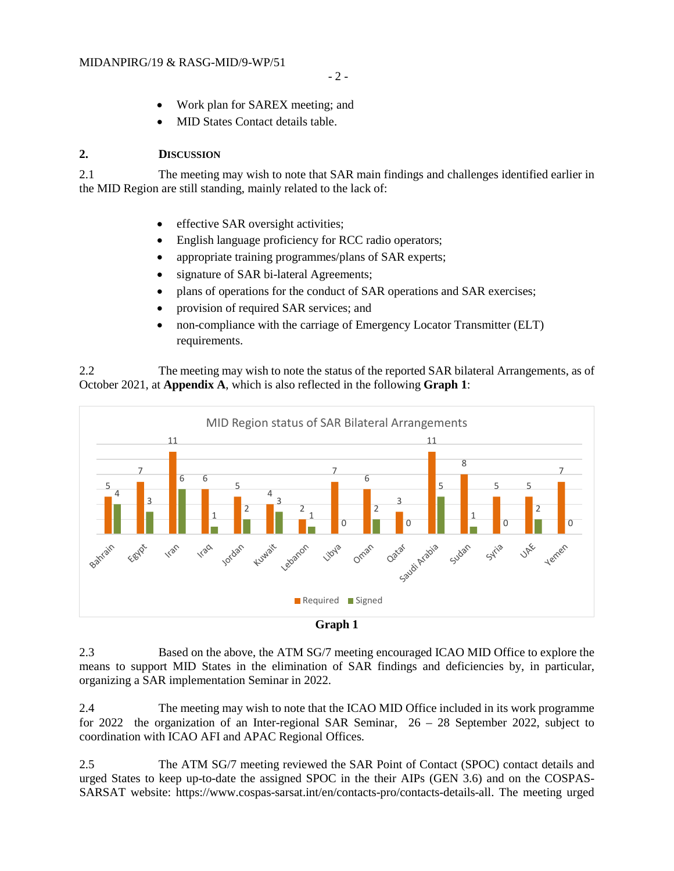- Work plan for SAREX meeting; and
- MID States Contact details table.

## **2. DISCUSSION**

2.1 The meeting may wish to note that SAR main findings and challenges identified earlier in the MID Region are still standing, mainly related to the lack of:

- effective SAR oversight activities;
- English language proficiency for RCC radio operators;
- appropriate training programmes/plans of SAR experts;
- signature of SAR bi-lateral Agreements;
- plans of operations for the conduct of SAR operations and SAR exercises;
- provision of required SAR services; and
- non-compliance with the carriage of Emergency Locator Transmitter (ELT) requirements.

2.2 The meeting may wish to note the status of the reported SAR bilateral Arrangements, as of October 2021, at **Appendix A**, which is also reflected in the following **Graph 1**:





2.3 Based on the above, the ATM SG/7 meeting encouraged ICAO MID Office to explore the means to support MID States in the elimination of SAR findings and deficiencies by, in particular, organizing a SAR implementation Seminar in 2022.

2.4 The meeting may wish to note that the ICAO MID Office included in its work programme for 2022 the organization of an Inter-regional SAR Seminar, 26 – 28 September 2022, subject to coordination with ICAO AFI and APAC Regional Offices.

2.5 The ATM SG/7 meeting reviewed the SAR Point of Contact (SPOC) contact details and urged States to keep up-to-date the assigned SPOC in the their AIPs (GEN 3.6) and on the COSPAS-SARSAT website: [https://www.cospas-sarsat.int/en/contacts-pro/contacts-details-all.](https://www.cospas-sarsat.int/en/contacts-pro/contacts-details-all) The meeting urged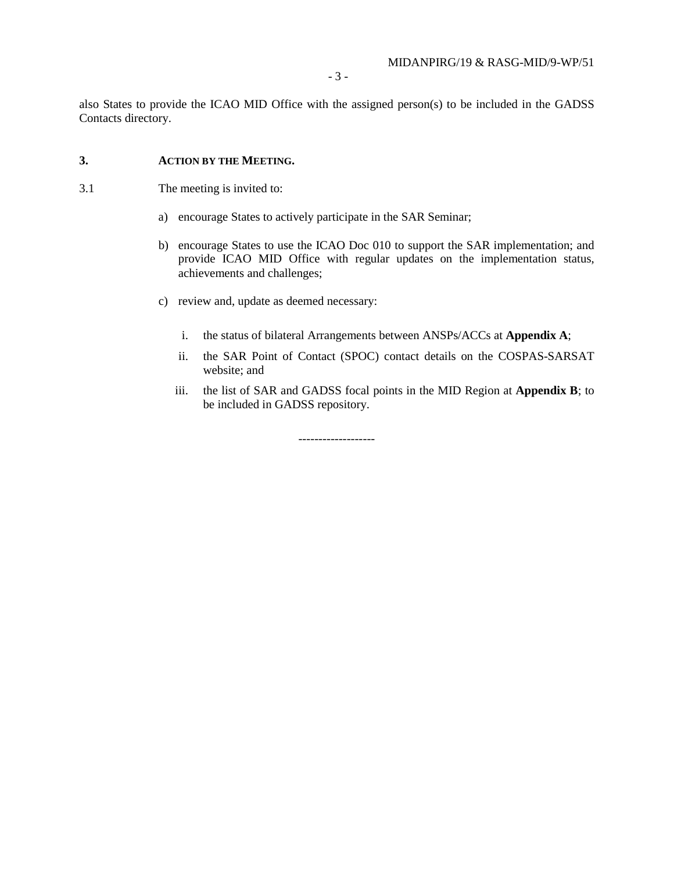also States to provide the ICAO MID Office with the assigned person(s) to be included in the GADSS Contacts directory.

### **3. ACTION BY THE MEETING.**

- 3.1 The meeting is invited to:
	- a) encourage States to actively participate in the SAR Seminar;
	- b) encourage States to use the ICAO Doc 010 to support the SAR implementation; and provide ICAO MID Office with regular updates on the implementation status, achievements and challenges;
	- c) review and, update as deemed necessary:
		- i. the status of bilateral Arrangements between ANSPs/ACCs at **Appendix A**;
		- ii. the SAR Point of Contact (SPOC) contact details on the COSPAS-SARSAT website; and
		- iii. the list of SAR and GADSS focal points in the MID Region at **Appendix B**; to be included in GADSS repository.

-------------------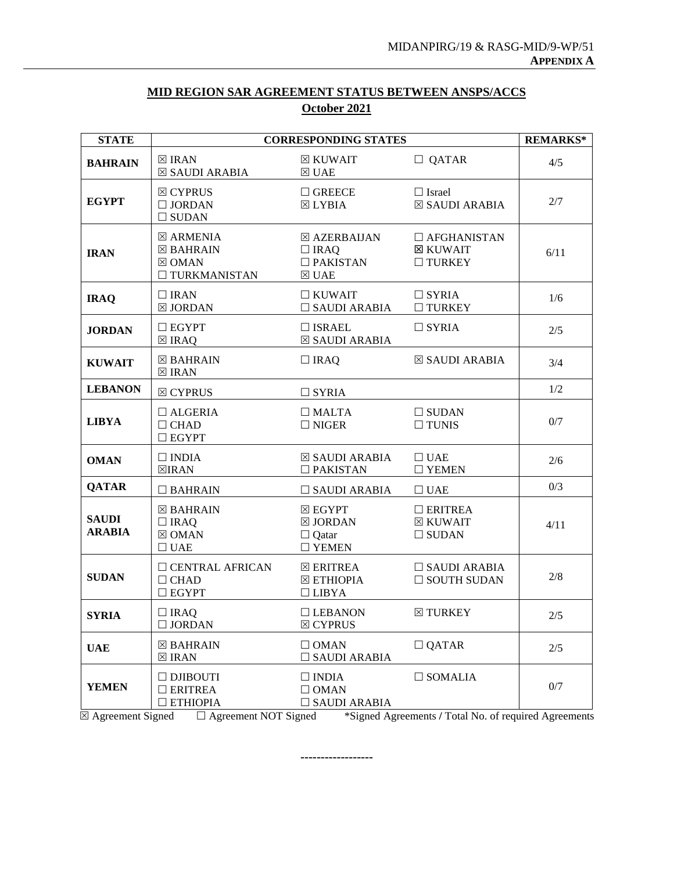| <b>STATE</b>                  | <b>CORRESPONDING STATES</b>                                                           | <b>REMARKS*</b>                                                         |                                                        |      |
|-------------------------------|---------------------------------------------------------------------------------------|-------------------------------------------------------------------------|--------------------------------------------------------|------|
| <b>BAHRAIN</b>                | $\boxtimes$ IRAN<br>⊠ SAUDI ARABIA                                                    | ⊠ KUWAIT<br>$\boxtimes$ UAE                                             | $\Box$ QATAR                                           | 4/5  |
| <b>EGYPT</b>                  | $\boxtimes$ CYPRUS<br>$\Box$ JORDAN<br>$\square$ SUDAN                                | $\Box$ GREECE<br>$\boxtimes$ LYBIA                                      | $\Box$ Israel<br>⊠ SAUDI ARABIA                        | 2/7  |
| <b>IRAN</b>                   | $\boxtimes$ ARMENIA<br>$\boxtimes$ BAHRAIN<br>$\boxtimes$ OMAN<br>$\Box$ TURKMANISTAN | ⊠ AZERBAIJAN<br>$\Box$ IRAQ<br>$\square$ PAKISTAN<br>$\boxtimes$ UAE    | $\Box$ AFGHANISTAN<br><b>⊠ KUWAIT</b><br>$\Box$ TURKEY | 6/11 |
| <b>IRAQ</b>                   | $\Box$ IRAN<br>$\boxtimes$ JORDAN                                                     | $\Box$ KUWAIT<br>$\Box$ SAUDI ARABIA                                    | $\Box$ SYRIA<br>$\Box$ TURKEY                          | 1/6  |
| <b>JORDAN</b>                 | $\Box$ EGYPT<br>$\boxtimes$ IRAQ                                                      | $\Box$ ISRAEL<br>$\boxtimes$ SAUDI ARABIA                               | $\Box$ SYRIA                                           | 2/5  |
| <b>KUWAIT</b>                 | $\boxtimes$ BAHRAIN<br>$\boxtimes$ IRAN                                               | $\Box$ IRAQ                                                             | ⊠ SAUDI ARABIA                                         | 3/4  |
| <b>LEBANON</b>                | $\boxtimes$ CYPRUS                                                                    | $\Box$ SYRIA                                                            |                                                        | 1/2  |
| <b>LIBYA</b>                  | $\Box$ ALGERIA<br>$\Box$ CHAD<br>$\Box$ EGYPT                                         | $\Box$ MALTA<br>$\Box$ NIGER                                            | $\Box$ SUDAN<br>$\Box$ TUNIS                           | 0/7  |
| <b>OMAN</b>                   | $\Box$ INDIA<br>$\boxtimes$ IRAN                                                      | $\boxtimes$ SAUDI ARABIA<br>$\Box$ PAKISTAN                             | $\Box$ UAE<br>$\Box$ YEMEN                             | 2/6  |
| <b>QATAR</b>                  | $\Box$ BAHRAIN                                                                        | $\Box$ SAUDI ARABIA                                                     | $\Box$ UAE                                             | 0/3  |
| <b>SAUDI</b><br><b>ARABIA</b> | $\boxtimes$ BAHRAIN<br>$\Box$ IRAQ<br>$\boxtimes$ OMAN<br>$\Box$ UAE                  | $\boxtimes$ EGYPT<br>$\boxtimes$ JORDAN<br>$\Box$ Qatar<br>$\Box$ YEMEN | $\Box$ ERITREA<br>$\boxtimes$ KUWAIT<br>$\Box$ SUDAN   | 4/11 |
| <b>SUDAN</b>                  | $\Box$ CENTRAL AFRICAN<br>$\Box$ CHAD<br>$\Box$ EGYPT                                 | $\boxtimes$ ERITREA<br>⊠ ETHIOPIA<br>$\Box$ LIBYA                       | $\Box$ SAUDI ARABIA<br>$\Box$ SOUTH SUDAN              | 2/8  |
| <b>SYRIA</b>                  | $\Box$ IRAQ<br>$\Box$ JORDAN                                                          | $\Box$ LEBANON<br>$\boxtimes$ CYPRUS                                    | $\boxtimes$ TURKEY                                     | 2/5  |
| <b>UAE</b>                    | $\boxtimes$ BAHRAIN<br>$\boxtimes$ IRAN                                               | $\Box$ OMAN<br>$\square$ SAUDI ARABIA                                   | $\Box$ QATAR                                           | 2/5  |
| <b>YEMEN</b>                  | $\Box$ DJIBOUTI<br>$\Box$ ERITREA<br>$\Box$ ETHIOPIA                                  | $\Box$ INDIA<br>$\Box$ OMAN<br>$\square$ SAUDI ARABIA                   | $\Box$ SOMALIA                                         | 0/7  |

# **MID REGION SAR AGREEMENT STATUS BETWEEN ANSPS/ACCS October 2021**

Agreement Signed Agreement NOT Signed \*Signed Agreements **/** Total No. of required Agreements

**------------------**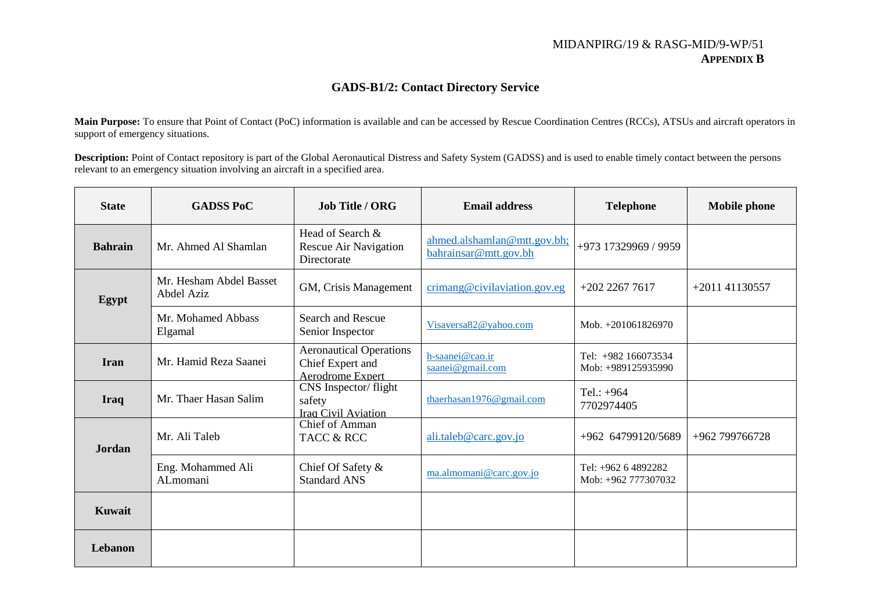## MIDANPIRG/19 & RASG-MID/9-WP/51 **APPENDIX B**

# **GADS-B1/2: Contact Directory Service**

**Main Purpose:** To ensure that Point of Contact (PoC) information is available and can be accessed by Rescue Coordination Centres (RCCs), ATSUs and aircraft operators in support of emergency situations.

**Description:** Point of Contact repository is part of the Global Aeronautical Distress and Safety System (GADSS) and is used to enable timely contact between the persons relevant to an emergency situation involving an aircraft in a specified area.

| <b>State</b>   | <b>GADSS PoC</b>                      | <b>Job Title / ORG</b>                                                        | <b>Email address</b>                                 | <b>Telephone</b>                           | <b>Mobile phone</b> |
|----------------|---------------------------------------|-------------------------------------------------------------------------------|------------------------------------------------------|--------------------------------------------|---------------------|
| <b>Bahrain</b> | Mr. Ahmed Al Shamlan                  | Head of Search &<br>Rescue Air Navigation<br>Directorate                      | ahmed.alshamlan@mtt.gov.bh;<br>bahrainsar@mtt.gov.bh | +973 17329969 / 9959                       |                     |
| Egypt          | Mr. Hesham Abdel Basset<br>Abdel Aziz | GM, Crisis Management                                                         | crimang@civilaviation.gov.eg                         | $+20222677617$                             | +2011 41130557      |
|                | Mr. Mohamed Abbass<br>Elgamal         | <b>Search and Rescue</b><br>Senior Inspector                                  | Visaversa82@yahoo.com                                | Mob. +201061826970                         |                     |
| <b>Iran</b>    | Mr. Hamid Reza Saanei                 | <b>Aeronautical Operations</b><br>Chief Expert and<br><b>Aerodrome Expert</b> | h-saanei@cao.ir<br>saanei@gmail.com                  | Tel: +982 166073534<br>Mob: +989125935990  |                     |
| <b>Iraq</b>    | Mr. Thaer Hasan Salim                 | CNS Inspector/flight<br>safety<br><b>Iraq</b> Civil Aviation                  | thaerhasan1976@gmail.com                             | Tel.: $+964$<br>7702974405                 |                     |
| <b>Jordan</b>  | Mr. Ali Taleb                         | <b>Chief of Amman</b><br>TACC & RCC                                           | ali.taleb@carc.gov.jo                                | +962 64799120/5689                         | +962 799766728      |
|                | Eng. Mohammed Ali<br>ALmomani         | Chief Of Safety &<br><b>Standard ANS</b>                                      | ma.almomani@carc.gov.jo                              | Tel: +962 6 4892282<br>Mob: +962 777307032 |                     |
| <b>Kuwait</b>  |                                       |                                                                               |                                                      |                                            |                     |
| Lebanon        |                                       |                                                                               |                                                      |                                            |                     |